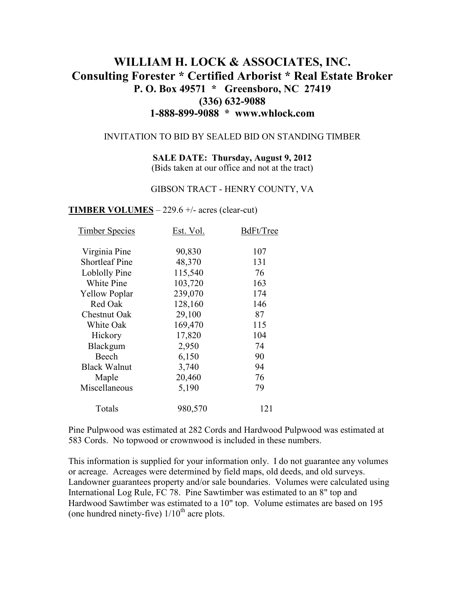# **WILLIAM H. LOCK & ASSOCIATES, INC. Consulting Forester \* Certified Arborist \* Real Estate Broker P. O. Box 49571 \* Greensboro, NC 27419 (336) 632-9088 1-888-899-9088 \* www.whlock.com**

#### INVITATION TO BID BY SEALED BID ON STANDING TIMBER

**SALE DATE: Thursday, August 9, 2012**  (Bids taken at our office and not at the tract)

#### GIBSON TRACT - HENRY COUNTY, VA

#### **TIMBER VOLUMES** – 229.6 +/- acres (clear-cut)

| Timber Species        | Est. Vol. | BdFt/Tree |
|-----------------------|-----------|-----------|
| Virginia Pine         | 90,830    | 107       |
| <b>Shortleaf Pine</b> | 48,370    | 131       |
| Loblolly Pine         | 115,540   | 76        |
| White Pine            | 103,720   | 163       |
| <b>Yellow Poplar</b>  | 239,070   | 174       |
| Red Oak               | 128,160   | 146       |
| Chestnut Oak          | 29,100    | 87        |
| White Oak             | 169,470   | 115       |
| Hickory               | 17,820    | 104       |
| Blackgum              | 2,950     | 74        |
| Beech                 | 6,150     | 90        |
| <b>Black Walnut</b>   | 3,740     | 94        |
| Maple                 | 20,460    | 76        |
| Miscellaneous         | 5,190     | 79        |
| Totals                | 980,570   | 121       |

Pine Pulpwood was estimated at 282 Cords and Hardwood Pulpwood was estimated at 583 Cords. No topwood or crownwood is included in these numbers.

This information is supplied for your information only. I do not guarantee any volumes or acreage. Acreages were determined by field maps, old deeds, and old surveys. Landowner guarantees property and/or sale boundaries. Volumes were calculated using International Log Rule, FC 78. Pine Sawtimber was estimated to an 8" top and Hardwood Sawtimber was estimated to a 10" top. Volume estimates are based on 195 (one hundred ninety-five)  $1/10^{th}$  acre plots.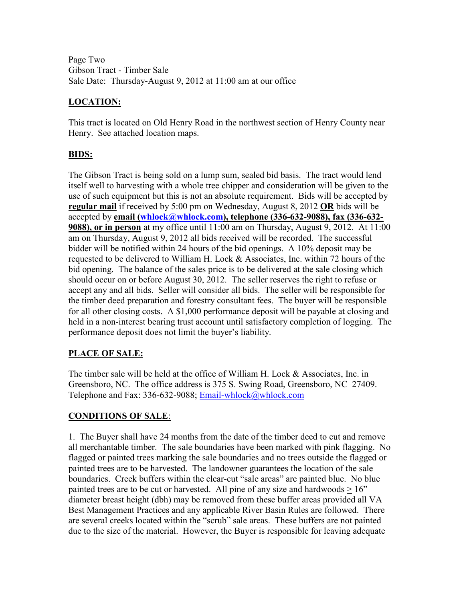Page Two Gibson Tract - Timber Sale Sale Date: Thursday-August 9, 2012 at 11:00 am at our office

### **LOCATION:**

This tract is located on Old Henry Road in the northwest section of Henry County near Henry. See attached location maps.

### **BIDS:**

The Gibson Tract is being sold on a lump sum, sealed bid basis. The tract would lend itself well to harvesting with a whole tree chipper and consideration will be given to the use of such equipment but this is not an absolute requirement. Bids will be accepted by **regular mail** if received by 5:00 pm on Wednesday, August 8, 2012 **OR** bids will be accepted by **email (whlock@whlock.com), telephone (336-632-9088), fax (336-632- 9088), or in person** at my office until 11:00 am on Thursday, August 9, 2012. At 11:00 am on Thursday, August 9, 2012 all bids received will be recorded. The successful bidder will be notified within 24 hours of the bid openings. A 10% deposit may be requested to be delivered to William H. Lock & Associates, Inc. within 72 hours of the bid opening. The balance of the sales price is to be delivered at the sale closing which should occur on or before August 30, 2012. The seller reserves the right to refuse or accept any and all bids. Seller will consider all bids. The seller will be responsible for the timber deed preparation and forestry consultant fees. The buyer will be responsible for all other closing costs. A \$1,000 performance deposit will be payable at closing and held in a non-interest bearing trust account until satisfactory completion of logging. The performance deposit does not limit the buyer's liability.

## **PLACE OF SALE:**

The timber sale will be held at the office of William H. Lock & Associates, Inc. in Greensboro, NC. The office address is 375 S. Swing Road, Greensboro, NC 27409. Telephone and Fax: 336-632-9088; Email-whlock@whlock.com

#### **CONDITIONS OF SALE**:

1. The Buyer shall have 24 months from the date of the timber deed to cut and remove all merchantable timber. The sale boundaries have been marked with pink flagging. No flagged or painted trees marking the sale boundaries and no trees outside the flagged or painted trees are to be harvested. The landowner guarantees the location of the sale boundaries. Creek buffers within the clear-cut "sale areas" are painted blue. No blue painted trees are to be cut or harvested. All pine of any size and hardwoods  $> 16$ " diameter breast height (dbh) may be removed from these buffer areas provided all VA Best Management Practices and any applicable River Basin Rules are followed. There are several creeks located within the "scrub" sale areas. These buffers are not painted due to the size of the material. However, the Buyer is responsible for leaving adequate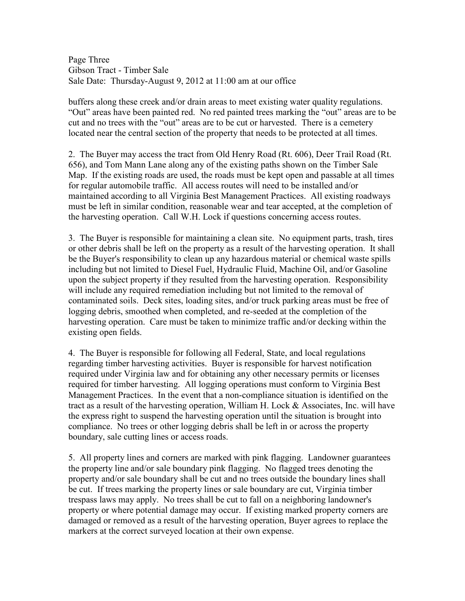Page Three Gibson Tract - Timber Sale Sale Date: Thursday-August 9, 2012 at 11:00 am at our office

buffers along these creek and/or drain areas to meet existing water quality regulations. "Out" areas have been painted red. No red painted trees marking the "out" areas are to be cut and no trees with the "out" areas are to be cut or harvested. There is a cemetery located near the central section of the property that needs to be protected at all times.

2. The Buyer may access the tract from Old Henry Road (Rt. 606), Deer Trail Road (Rt. 656), and Tom Mann Lane along any of the existing paths shown on the Timber Sale Map. If the existing roads are used, the roads must be kept open and passable at all times for regular automobile traffic. All access routes will need to be installed and/or maintained according to all Virginia Best Management Practices. All existing roadways must be left in similar condition, reasonable wear and tear accepted, at the completion of the harvesting operation. Call W.H. Lock if questions concerning access routes.

3. The Buyer is responsible for maintaining a clean site. No equipment parts, trash, tires or other debris shall be left on the property as a result of the harvesting operation. It shall be the Buyer's responsibility to clean up any hazardous material or chemical waste spills including but not limited to Diesel Fuel, Hydraulic Fluid, Machine Oil, and/or Gasoline upon the subject property if they resulted from the harvesting operation. Responsibility will include any required remediation including but not limited to the removal of contaminated soils. Deck sites, loading sites, and/or truck parking areas must be free of logging debris, smoothed when completed, and re-seeded at the completion of the harvesting operation. Care must be taken to minimize traffic and/or decking within the existing open fields.

4. The Buyer is responsible for following all Federal, State, and local regulations regarding timber harvesting activities. Buyer is responsible for harvest notification required under Virginia law and for obtaining any other necessary permits or licenses required for timber harvesting. All logging operations must conform to Virginia Best Management Practices. In the event that a non-compliance situation is identified on the tract as a result of the harvesting operation, William H. Lock & Associates, Inc. will have the express right to suspend the harvesting operation until the situation is brought into compliance. No trees or other logging debris shall be left in or across the property boundary, sale cutting lines or access roads.

5. All property lines and corners are marked with pink flagging. Landowner guarantees the property line and/or sale boundary pink flagging. No flagged trees denoting the property and/or sale boundary shall be cut and no trees outside the boundary lines shall be cut. If trees marking the property lines or sale boundary are cut, Virginia timber trespass laws may apply. No trees shall be cut to fall on a neighboring landowner's property or where potential damage may occur. If existing marked property corners are damaged or removed as a result of the harvesting operation, Buyer agrees to replace the markers at the correct surveyed location at their own expense.